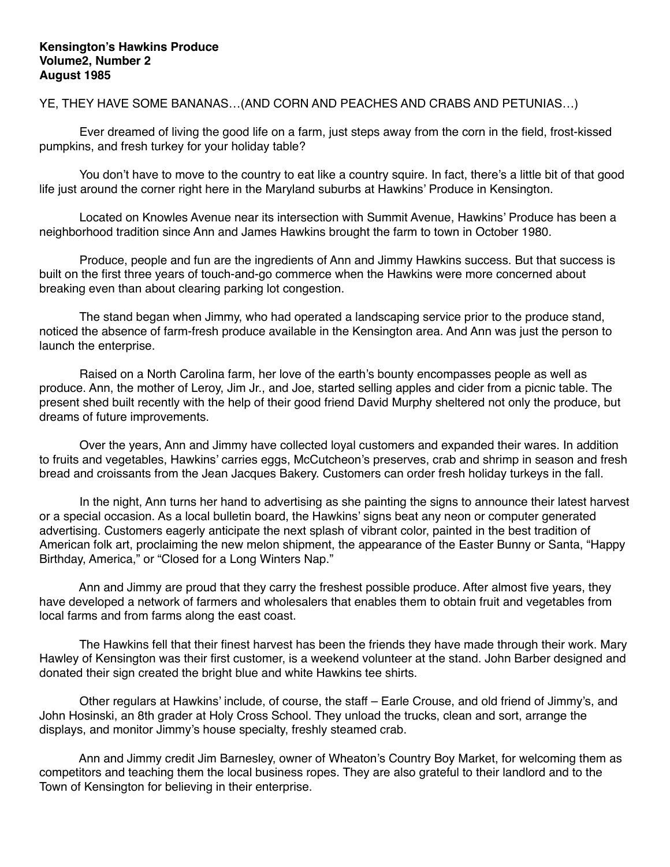YE, THEY HAVE SOME BANANAS…(AND CORN AND PEACHES AND CRABS AND PETUNIAS…)

 Ever dreamed of living the good life on a farm, just steps away from the corn in the field, frost-kissed pumpkins, and fresh turkey for your holiday table?

 You don't have to move to the country to eat like a country squire. In fact, there's a little bit of that good life just around the corner right here in the Maryland suburbs at Hawkins' Produce in Kensington.

 Located on Knowles Avenue near its intersection with Summit Avenue, Hawkins' Produce has been a neighborhood tradition since Ann and James Hawkins brought the farm to town in October 1980.

 Produce, people and fun are the ingredients of Ann and Jimmy Hawkins success. But that success is built on the first three years of touch-and-go commerce when the Hawkins were more concerned about breaking even than about clearing parking lot congestion.

 The stand began when Jimmy, who had operated a landscaping service prior to the produce stand, noticed the absence of farm-fresh produce available in the Kensington area. And Ann was just the person to launch the enterprise.

 Raised on a North Carolina farm, her love of the earth's bounty encompasses people as well as produce. Ann, the mother of Leroy, Jim Jr., and Joe, started selling apples and cider from a picnic table. The present shed built recently with the help of their good friend David Murphy sheltered not only the produce, but dreams of future improvements.

 Over the years, Ann and Jimmy have collected loyal customers and expanded their wares. In addition to fruits and vegetables, Hawkins' carries eggs, McCutcheon's preserves, crab and shrimp in season and fresh bread and croissants from the Jean Jacques Bakery. Customers can order fresh holiday turkeys in the fall.

 In the night, Ann turns her hand to advertising as she painting the signs to announce their latest harvest or a special occasion. As a local bulletin board, the Hawkins' signs beat any neon or computer generated advertising. Customers eagerly anticipate the next splash of vibrant color, painted in the best tradition of American folk art, proclaiming the new melon shipment, the appearance of the Easter Bunny or Santa, "Happy Birthday, America," or "Closed for a Long Winters Nap."

 Ann and Jimmy are proud that they carry the freshest possible produce. After almost five years, they have developed a network of farmers and wholesalers that enables them to obtain fruit and vegetables from local farms and from farms along the east coast.

 The Hawkins fell that their finest harvest has been the friends they have made through their work. Mary Hawley of Kensington was their first customer, is a weekend volunteer at the stand. John Barber designed and donated their sign created the bright blue and white Hawkins tee shirts.

 Other regulars at Hawkins' include, of course, the staff – Earle Crouse, and old friend of Jimmy's, and John Hosinski, an 8th grader at Holy Cross School. They unload the trucks, clean and sort, arrange the displays, and monitor Jimmy's house specialty, freshly steamed crab.

 Ann and Jimmy credit Jim Barnesley, owner of Wheaton's Country Boy Market, for welcoming them as competitors and teaching them the local business ropes. They are also grateful to their landlord and to the Town of Kensington for believing in their enterprise.